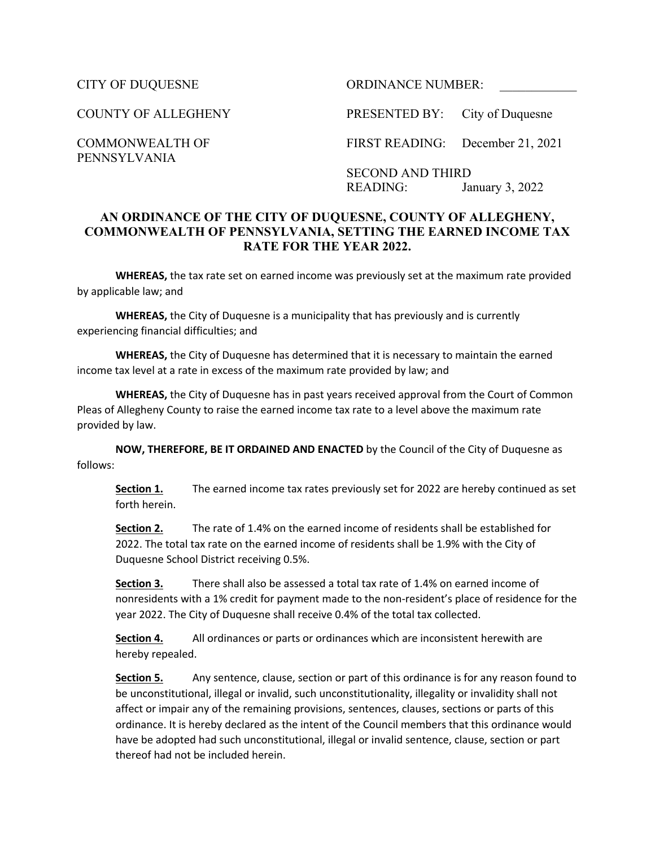PENNSYLVANIA

CITY OF DUQUESNE ORDINANCE NUMBER:

COUNTY OF ALLEGHENY PRESENTED BY: City of Duquesne

COMMONWEALTH OF FIRST READING: December 21, 2021

SECOND AND THIRD READING: January 3, 2022

## **AN ORDINANCE OF THE CITY OF DUQUESNE, COUNTY OF ALLEGHENY, COMMONWEALTH OF PENNSYLVANIA, SETTING THE EARNED INCOME TAX RATE FOR THE YEAR 2022.**

**WHEREAS,** the tax rate set on earned income was previously set at the maximum rate provided by applicable law; and

**WHEREAS,** the City of Duquesne is a municipality that has previously and is currently experiencing financial difficulties; and

**WHEREAS,** the City of Duquesne has determined that it is necessary to maintain the earned income tax level at a rate in excess of the maximum rate provided by law; and

**WHEREAS,** the City of Duquesne has in past years received approval from the Court of Common Pleas of Allegheny County to raise the earned income tax rate to a level above the maximum rate provided by law.

**NOW, THEREFORE, BE IT ORDAINED AND ENACTED** by the Council of the City of Duquesne as follows:

**Section 1.** The earned income tax rates previously set for 2022 are hereby continued as set forth herein.

**Section 2.** The rate of 1.4% on the earned income of residents shall be established for 2022. The total tax rate on the earned income of residents shall be 1.9% with the City of Duquesne School District receiving 0.5%.

**Section 3.** There shall also be assessed a total tax rate of 1.4% on earned income of nonresidents with a 1% credit for payment made to the non-resident's place of residence for the year 2022. The City of Duquesne shall receive 0.4% of the total tax collected.

**Section 4.** All ordinances or parts or ordinances which are inconsistent herewith are hereby repealed.

**Section 5.** Any sentence, clause, section or part of this ordinance is for any reason found to be unconstitutional, illegal or invalid, such unconstitutionality, illegality or invalidity shall not affect or impair any of the remaining provisions, sentences, clauses, sections or parts of this ordinance. It is hereby declared as the intent of the Council members that this ordinance would have be adopted had such unconstitutional, illegal or invalid sentence, clause, section or part thereof had not be included herein.